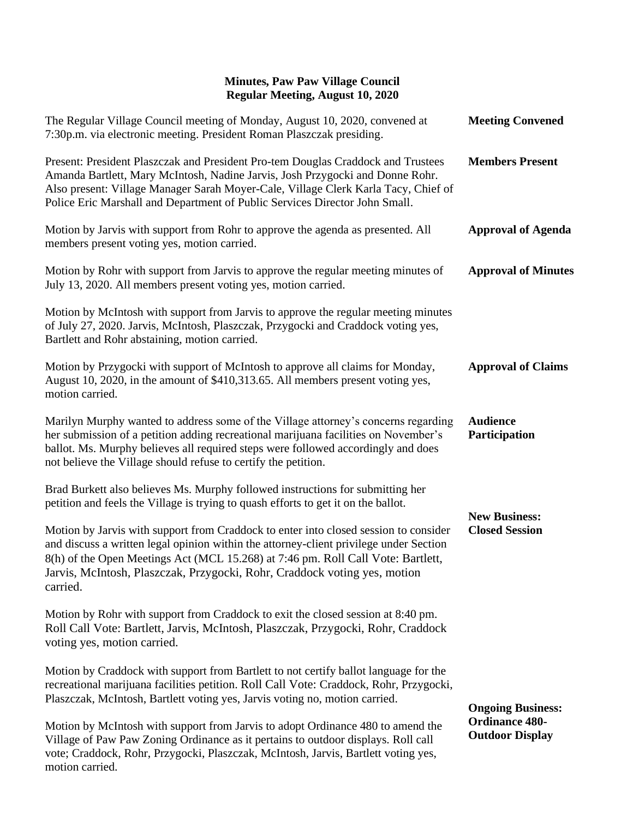## **Minutes, Paw Paw Village Council Regular Meeting, August 10, 2020**

| The Regular Village Council meeting of Monday, August 10, 2020, convened at<br>7:30p.m. via electronic meeting. President Roman Plaszczak presiding.                                                                                                                                                                                                        | <b>Meeting Convened</b>                                                     |
|-------------------------------------------------------------------------------------------------------------------------------------------------------------------------------------------------------------------------------------------------------------------------------------------------------------------------------------------------------------|-----------------------------------------------------------------------------|
| Present: President Plaszczak and President Pro-tem Douglas Craddock and Trustees<br>Amanda Bartlett, Mary McIntosh, Nadine Jarvis, Josh Przygocki and Donne Rohr.<br>Also present: Village Manager Sarah Moyer-Cale, Village Clerk Karla Tacy, Chief of<br>Police Eric Marshall and Department of Public Services Director John Small.                      | <b>Members Present</b>                                                      |
| Motion by Jarvis with support from Rohr to approve the agenda as presented. All<br>members present voting yes, motion carried.                                                                                                                                                                                                                              | <b>Approval of Agenda</b>                                                   |
| Motion by Rohr with support from Jarvis to approve the regular meeting minutes of<br>July 13, 2020. All members present voting yes, motion carried.                                                                                                                                                                                                         | <b>Approval of Minutes</b>                                                  |
| Motion by McIntosh with support from Jarvis to approve the regular meeting minutes<br>of July 27, 2020. Jarvis, McIntosh, Plaszczak, Przygocki and Craddock voting yes,<br>Bartlett and Rohr abstaining, motion carried.                                                                                                                                    |                                                                             |
| Motion by Przygocki with support of McIntosh to approve all claims for Monday,<br>August 10, 2020, in the amount of \$410,313.65. All members present voting yes,<br>motion carried.                                                                                                                                                                        | <b>Approval of Claims</b>                                                   |
| Marilyn Murphy wanted to address some of the Village attorney's concerns regarding<br>her submission of a petition adding recreational marijuana facilities on November's<br>ballot. Ms. Murphy believes all required steps were followed accordingly and does<br>not believe the Village should refuse to certify the petition.                            | <b>Audience</b><br>Participation                                            |
| Brad Burkett also believes Ms. Murphy followed instructions for submitting her<br>petition and feels the Village is trying to quash efforts to get it on the ballot.                                                                                                                                                                                        | <b>New Business:</b><br><b>Closed Session</b>                               |
| Motion by Jarvis with support from Craddock to enter into closed session to consider<br>and discuss a written legal opinion within the attorney-client privilege under Section<br>8(h) of the Open Meetings Act (MCL 15.268) at 7:46 pm. Roll Call Vote: Bartlett,<br>Jarvis, McIntosh, Plaszczak, Przygocki, Rohr, Craddock voting yes, motion<br>carried. |                                                                             |
| Motion by Rohr with support from Craddock to exit the closed session at 8:40 pm.<br>Roll Call Vote: Bartlett, Jarvis, McIntosh, Plaszczak, Przygocki, Rohr, Craddock<br>voting yes, motion carried.                                                                                                                                                         |                                                                             |
| Motion by Craddock with support from Bartlett to not certify ballot language for the<br>recreational marijuana facilities petition. Roll Call Vote: Craddock, Rohr, Przygocki,<br>Plaszczak, McIntosh, Bartlett voting yes, Jarvis voting no, motion carried.                                                                                               | <b>Ongoing Business:</b><br><b>Ordinance 480-</b><br><b>Outdoor Display</b> |
| Motion by McIntosh with support from Jarvis to adopt Ordinance 480 to amend the<br>Village of Paw Paw Zoning Ordinance as it pertains to outdoor displays. Roll call<br>vote; Craddock, Rohr, Przygocki, Plaszczak, McIntosh, Jarvis, Bartlett voting yes,<br>motion carried.                                                                               |                                                                             |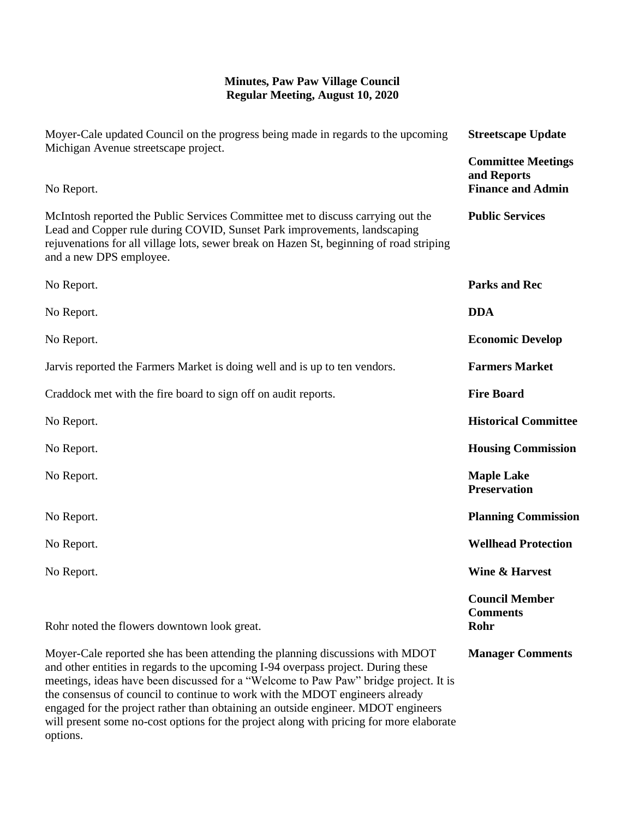## **Minutes, Paw Paw Village Council Regular Meeting, August 10, 2020**

| Moyer-Cale updated Council on the progress being made in regards to the upcoming<br>Michigan Avenue streetscape project.                                                                                                                                                                                                                                                                                                                                                                                                               | <b>Streetscape Update</b>                                            |
|----------------------------------------------------------------------------------------------------------------------------------------------------------------------------------------------------------------------------------------------------------------------------------------------------------------------------------------------------------------------------------------------------------------------------------------------------------------------------------------------------------------------------------------|----------------------------------------------------------------------|
| No Report.                                                                                                                                                                                                                                                                                                                                                                                                                                                                                                                             | <b>Committee Meetings</b><br>and Reports<br><b>Finance and Admin</b> |
| McIntosh reported the Public Services Committee met to discuss carrying out the<br>Lead and Copper rule during COVID, Sunset Park improvements, landscaping<br>rejuvenations for all village lots, sewer break on Hazen St, beginning of road striping<br>and a new DPS employee.                                                                                                                                                                                                                                                      | <b>Public Services</b>                                               |
| No Report.                                                                                                                                                                                                                                                                                                                                                                                                                                                                                                                             | <b>Parks and Rec</b>                                                 |
| No Report.                                                                                                                                                                                                                                                                                                                                                                                                                                                                                                                             | <b>DDA</b>                                                           |
| No Report.                                                                                                                                                                                                                                                                                                                                                                                                                                                                                                                             | <b>Economic Develop</b>                                              |
| Jarvis reported the Farmers Market is doing well and is up to ten vendors.                                                                                                                                                                                                                                                                                                                                                                                                                                                             | <b>Farmers Market</b>                                                |
| Craddock met with the fire board to sign off on audit reports.                                                                                                                                                                                                                                                                                                                                                                                                                                                                         | <b>Fire Board</b>                                                    |
| No Report.                                                                                                                                                                                                                                                                                                                                                                                                                                                                                                                             | <b>Historical Committee</b>                                          |
| No Report.                                                                                                                                                                                                                                                                                                                                                                                                                                                                                                                             | <b>Housing Commission</b>                                            |
| No Report.                                                                                                                                                                                                                                                                                                                                                                                                                                                                                                                             | <b>Maple Lake</b><br><b>Preservation</b>                             |
| No Report.                                                                                                                                                                                                                                                                                                                                                                                                                                                                                                                             | <b>Planning Commission</b>                                           |
| No Report.                                                                                                                                                                                                                                                                                                                                                                                                                                                                                                                             | <b>Wellhead Protection</b>                                           |
| No Report.                                                                                                                                                                                                                                                                                                                                                                                                                                                                                                                             | <b>Wine &amp; Harvest</b>                                            |
| Rohr noted the flowers downtown look great.                                                                                                                                                                                                                                                                                                                                                                                                                                                                                            | <b>Council Member</b><br><b>Comments</b><br>Rohr                     |
| Moyer-Cale reported she has been attending the planning discussions with MDOT<br>and other entities in regards to the upcoming I-94 overpass project. During these<br>meetings, ideas have been discussed for a "Welcome to Paw Paw" bridge project. It is<br>the consensus of council to continue to work with the MDOT engineers already<br>engaged for the project rather than obtaining an outside engineer. MDOT engineers<br>will present some no-cost options for the project along with pricing for more elaborate<br>options. | <b>Manager Comments</b>                                              |